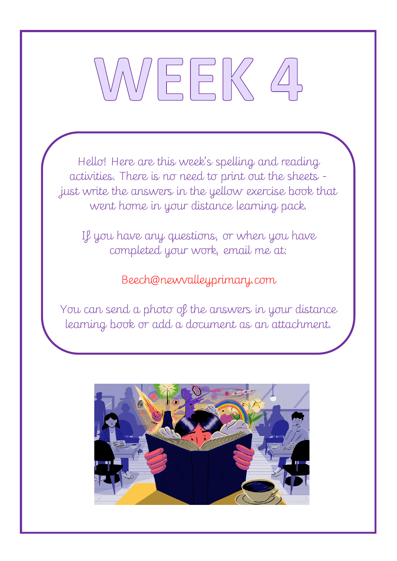# EEK

Hello! Here are this week's spelling and reading activities. There is no need to print out the sheets just write the answers in the yellow exercise book that went home in your distance learning pack.

If you have any questions, or when you have completed your work, email me at:

# Beech@newvalleyprimary.com

You can send a photo of the answers in your distance learning book or add a document as an attachment.

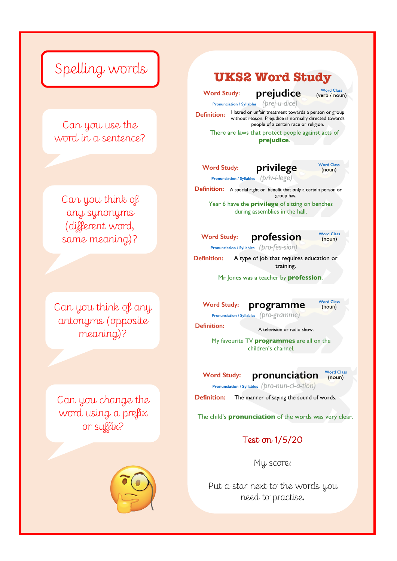# Spelling words

Can you use the word in a sentence?

Can you think of any synonyms (different word, same meaning)?

Can you think of any antonyms (opposite meaning)?

Can you change the word using a prefix or suffix?



#### **UKS2 Word Study**

**Word Study:** 

prejudice

Pronunciation / Syllables (prej-u-dice) Hatred or unfair treatment towards a person or group **Definition:** without reason. Prejudice is normally directed towards people of a certain race or religion.

There are laws that protect people against acts of prejudice.

privilege

**Word Study:** 

**Definition:** 



**Word Class** 

(verb / noun)

Pronunciation / Syllables (priv-i-lege)

**Definition:** A special right or benefit that only a certain person or group has.

Year 6 have the **privilege** of sitting on benches during assemblies in the hall.

profession **Word Study:** 

**Word Class**  $(noun)$ 

Pronunciation / Syllables (pro-fes-sion)

**Definition:** A type of job that requires education or training.

Mr Jones was a teacher by **profession**.

**Word Study:** programme **Word Class**  $(noun)$ 

Pronunciation / Syllables (pro-gramme)

A television or radio show.

My favourite TV **programmes** are all on the children's channel.

**Word Study:** pronunciation

**Word Class**  $(noun)$ 

Pronunciation / Syllables (pro-nun-ci-a-tion)

**Definition:** The manner of saying the sound of words.

The child's **pronunciation** of the words was very clear.

Test on 1/5/20

My score:

Put a star next to the words you need to practise.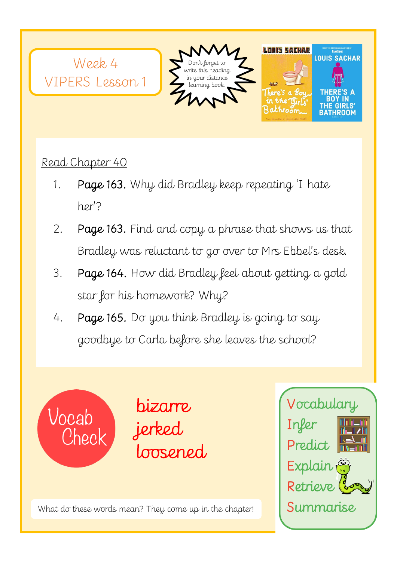

Read Chapter 40

- 1. Page 163. Why did Bradley keep repeating 'I hate her'?
- 2. Page 163. Find and copy a phrase that shows us that Bradley was reluctant to go over to Mrs Ebbel's desk.
- 3. Page 164. How did Bradley feel about getting a gold star for his homework? Why?
- 4. Page 165. Do you think Bradley is going to say goodbye to Carla before she leaves the school?





 $\frac{1}{2}$ What do these words mean? They come up in the chapter!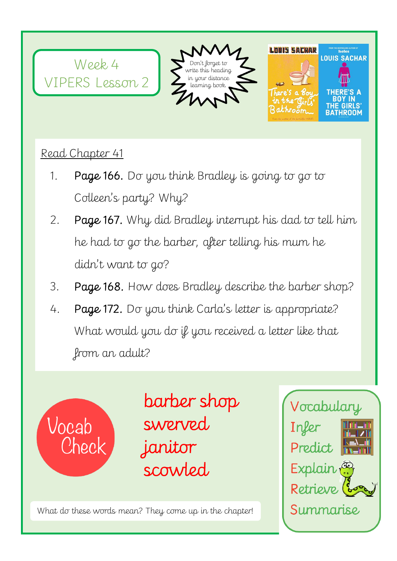

### Read Chapter 41

- 1. Page 166. Do you think Bradley is going to go to Colleen's party? Why?
- 2. Page 167. Why did Bradley interrupt his dad to tell him he had to go the barber, after telling his mum he didn't want to go?
- 3. Page 168. How does Bradley describe the barber shop?
- 4. Page 172. Do you think Carla's letter is appropriate? What would you do if you received a letter like that from an adult?



barber shop swerved janitor scowled

What do these words mean? They come up in the chapter!

Ī